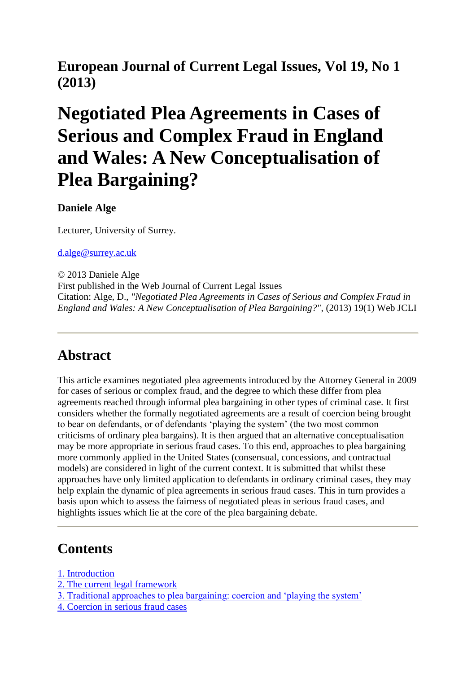### **European Journal of Current Legal Issues, Vol 19, No 1 (2013)**

# **Negotiated Plea Agreements in Cases of Serious and Complex Fraud in England and Wales: A New Conceptualisation of Plea Bargaining?**

**Daniele Alge**

Lecturer, University of Surrey.

[d.alge@surrey.ac.uk](mailto:d.alge@surrey.ac.uk)

© 2013 Daniele Alge First published in the Web Journal of Current Legal Issues Citation: Alge, D., *"Negotiated Plea Agreements in Cases of Serious and Complex Fraud in England and Wales: A New Conceptualisation of Plea Bargaining?", (2013) 19(1) Web JCLI* 

#### **Abstract**

This article examines negotiated plea agreements introduced by the Attorney General in 2009 for cases of serious or complex fraud, and the degree to which these differ from plea agreements reached through informal plea bargaining in other types of criminal case. It first considers whether the formally negotiated agreements are a result of coercion being brought to bear on defendants, or of defendants 'playing the system' (the two most common criticisms of ordinary plea bargains). It is then argued that an alternative conceptualisation may be more appropriate in serious fraud cases. To this end, approaches to plea bargaining more commonly applied in the United States (consensual, concessions, and contractual models) are considered in light of the current context. It is submitted that whilst these approaches have only limited application to defendants in ordinary criminal cases, they may help explain the dynamic of plea agreements in serious fraud cases. This in turn provides a basis upon which to assess the fairness of negotiated pleas in serious fraud cases, and highlights issues which lie at the core of the plea bargaining debate.

#### **Contents**

- [1. Introduction](http://webjcli.org/rt/printerFriendly/203/272#_Toc347515369)
- [2. The current legal framework](http://webjcli.org/rt/printerFriendly/203/272#_Toc347515370)
- [3. Traditional approaches to plea bargaining: coercion and 'playing the system'](http://webjcli.org/rt/printerFriendly/203/272#_Toc347515371)
- [4. Coercion in serious fraud cases](http://webjcli.org/rt/printerFriendly/203/272#_Toc347515372)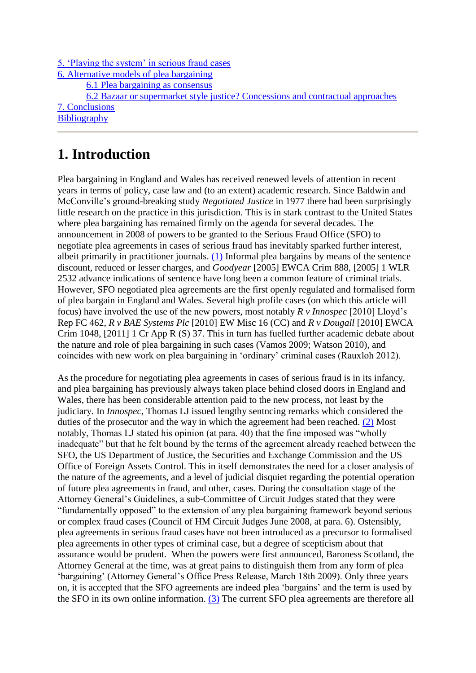[5. 'Playing the system' in serious fraud cases](http://webjcli.org/rt/printerFriendly/203/272#_Toc347515373)

[6. Alternative models of plea bargaining](http://webjcli.org/rt/printerFriendly/203/272#_Toc347515374)

[6.1 Plea bargaining as consensus](http://webjcli.org/rt/printerFriendly/203/272#_Toc347515375)

[6.2 Bazaar or supermarket style justice? Concessions and contractual approaches](http://webjcli.org/rt/printerFriendly/203/272#_Toc347515376)

[7. Conclusions](http://webjcli.org/rt/printerFriendly/203/272#_Toc347515377)

**[Bibliography](http://webjcli.org/rt/printerFriendly/203/272#_Toc347515378)** 

### **1. Introduction**

Plea bargaining in England and Wales has received renewed levels of attention in recent years in terms of policy, case law and (to an extent) academic research. Since Baldwin and McConville's ground-breaking study *Negotiated Justice* in 1977 there had been surprisingly little research on the practice in this jurisdiction. This is in stark contrast to the United States where plea bargaining has remained firmly on the agenda for several decades. The announcement in 2008 of powers to be granted to the Serious Fraud Office (SFO) to negotiate plea agreements in cases of serious fraud has inevitably sparked further interest, albeit primarily in practitioner journals.  $(1)$  Informal plea bargains by means of the sentence discount, reduced or lesser charges, and *Goodyear* [2005] EWCA Crim 888, [2005] 1 WLR 2532 advance indications of sentence have long been a common feature of criminal trials. However, SFO negotiated plea agreements are the first openly regulated and formalised form of plea bargain in England and Wales. Several high profile cases (on which this article will focus) have involved the use of the new powers, most notably *R v Innospec* [2010] Lloyd's Rep FC 462, *R v BAE Systems Plc* [2010] EW Misc 16 (CC) and *R v Dougall* [2010] EWCA Crim 1048, [2011] 1 Cr App R (S) 37. This in turn has fuelled further academic debate about the nature and role of plea bargaining in such cases (Vamos 2009; Watson 2010), and coincides with new work on plea bargaining in 'ordinary' criminal cases (Rauxloh 2012).

As the procedure for negotiating plea agreements in cases of serious fraud is in its infancy, and plea bargaining has previously always taken place behind closed doors in England and Wales, there has been considerable attention paid to the new process, not least by the judiciary. In *Innospec*, Thomas LJ issued lengthy sentncing remarks which considered the duties of the prosecutor and the way in which the agreement had been reached. [\(2\)](http://webjcli.org/rt/printerFriendly/203/272#_ftn2) Most notably, Thomas LJ stated his opinion (at para. 40) that the fine imposed was "wholly inadequate" but that he felt bound by the terms of the agreement already reached between the SFO, the US Department of Justice, the Securities and Exchange Commission and the US Office of Foreign Assets Control. This in itself demonstrates the need for a closer analysis of the nature of the agreements, and a level of judicial disquiet regarding the potential operation of future plea agreements in fraud, and other, cases. During the consultation stage of the Attorney General's Guidelines, a sub-Committee of Circuit Judges stated that they were "fundamentally opposed" to the extension of any plea bargaining framework beyond serious or complex fraud cases (Council of HM Circuit Judges June 2008, at para. 6). Ostensibly, plea agreements in serious fraud cases have not been introduced as a precursor to formalised plea agreements in other types of criminal case, but a degree of scepticism about that assurance would be prudent. When the powers were first announced, Baroness Scotland, the Attorney General at the time, was at great pains to distinguish them from any form of plea 'bargaining' (Attorney General's Office Press Release, March 18th 2009). Only three years on, it is accepted that the SFO agreements are indeed plea 'bargains' and the term is used by the SFO in its own online information. [\(3\)](http://webjcli.org/rt/printerFriendly/203/272#_ftn3) The current SFO plea agreements are therefore all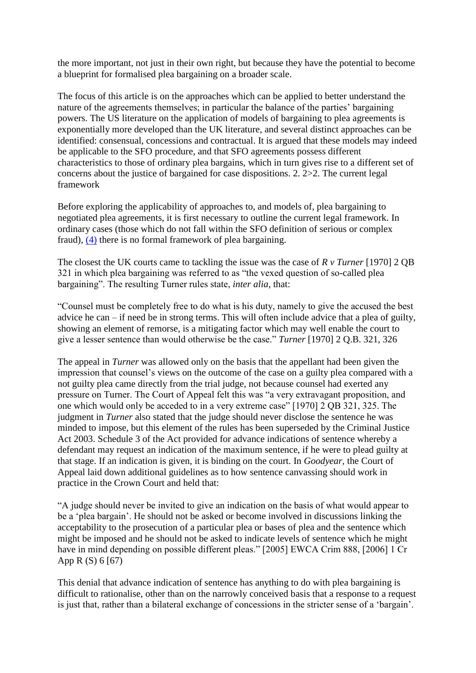the more important, not just in their own right, but because they have the potential to become a blueprint for formalised plea bargaining on a broader scale.

The focus of this article is on the approaches which can be applied to better understand the nature of the agreements themselves; in particular the balance of the parties' bargaining powers. The US literature on the application of models of bargaining to plea agreements is exponentially more developed than the UK literature, and several distinct approaches can be identified: consensual, concessions and contractual. It is argued that these models may indeed be applicable to the SFO procedure, and that SFO agreements possess different characteristics to those of ordinary plea bargains, which in turn gives rise to a different set of concerns about the justice of bargained for case dispositions. 2. 2>2. The current legal framework

Before exploring the applicability of approaches to, and models of, plea bargaining to negotiated plea agreements, it is first necessary to outline the current legal framework. In ordinary cases (those which do not fall within the SFO definition of serious or complex fraud), [\(4\)](http://webjcli.org/rt/printerFriendly/203/272#_ftn4) there is no formal framework of plea bargaining.

The closest the UK courts came to tackling the issue was the case of *R v Turner* [1970] 2 QB 321 in which plea bargaining was referred to as "the vexed question of so-called plea bargaining". The resulting Turner rules state, *inter alia*, that:

"Counsel must be completely free to do what is his duty, namely to give the accused the best advice he can – if need be in strong terms. This will often include advice that a plea of guilty, showing an element of remorse, is a mitigating factor which may well enable the court to give a lesser sentence than would otherwise be the case." *Turner* [1970] 2 Q.B. 321, 326

The appeal in *Turner* was allowed only on the basis that the appellant had been given the impression that counsel's views on the outcome of the case on a guilty plea compared with a not guilty plea came directly from the trial judge, not because counsel had exerted any pressure on Turner. The Court of Appeal felt this was "a very extravagant proposition, and one which would only be acceded to in a very extreme case" [1970] 2 QB 321, 325. The judgment in *Turner* also stated that the judge should never disclose the sentence he was minded to impose, but this element of the rules has been superseded by the Criminal Justice Act 2003. Schedule 3 of the Act provided for advance indications of sentence whereby a defendant may request an indication of the maximum sentence, if he were to plead guilty at that stage. If an indication is given, it is binding on the court. In *Goodyear,* the Court of Appeal laid down additional guidelines as to how sentence canvassing should work in practice in the Crown Court and held that:

"A judge should never be invited to give an indication on the basis of what would appear to be a 'plea bargain'. He should not be asked or become involved in discussions linking the acceptability to the prosecution of a particular plea or bases of plea and the sentence which might be imposed and he should not be asked to indicate levels of sentence which he might have in mind depending on possible different pleas." [2005] EWCA Crim 888, [2006] 1 Cr App R (S) 6 [67)

This denial that advance indication of sentence has anything to do with plea bargaining is difficult to rationalise, other than on the narrowly conceived basis that a response to a request is just that, rather than a bilateral exchange of concessions in the stricter sense of a 'bargain'.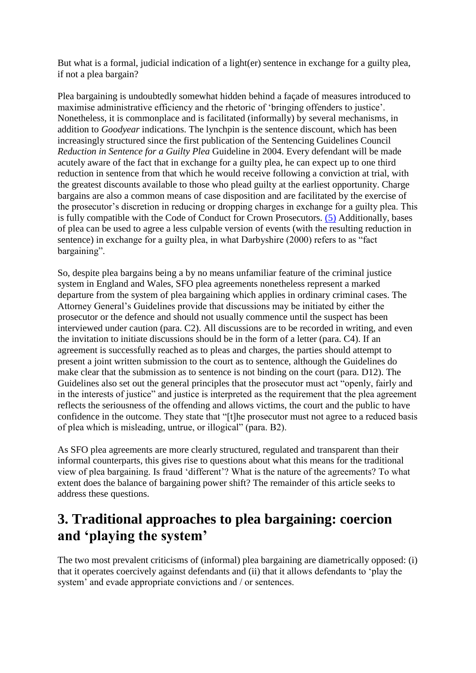But what is a formal, judicial indication of a light(er) sentence in exchange for a guilty plea, if not a plea bargain?

Plea bargaining is undoubtedly somewhat hidden behind a façade of measures introduced to maximise administrative efficiency and the rhetoric of 'bringing offenders to justice'. Nonetheless, it is commonplace and is facilitated (informally) by several mechanisms, in addition to *Goodyear* indications. The lynchpin is the sentence discount, which has been increasingly structured since the first publication of the Sentencing Guidelines Council *Reduction in Sentence for a Guilty Plea* Guideline in 2004. Every defendant will be made acutely aware of the fact that in exchange for a guilty plea, he can expect up to one third reduction in sentence from that which he would receive following a conviction at trial, with the greatest discounts available to those who plead guilty at the earliest opportunity. Charge bargains are also a common means of case disposition and are facilitated by the exercise of the prosecutor's discretion in reducing or dropping charges in exchange for a guilty plea. This is fully compatible with the Code of Conduct for Crown Prosecutors. [\(5\)](http://webjcli.org/rt/printerFriendly/203/272#_ftn5) Additionally, bases of plea can be used to agree a less culpable version of events (with the resulting reduction in sentence) in exchange for a guilty plea, in what Darbyshire (2000) refers to as "fact bargaining".

So, despite plea bargains being a by no means unfamiliar feature of the criminal justice system in England and Wales, SFO plea agreements nonetheless represent a marked departure from the system of plea bargaining which applies in ordinary criminal cases. The Attorney General's Guidelines provide that discussions may be initiated by either the prosecutor or the defence and should not usually commence until the suspect has been interviewed under caution (para. C2). All discussions are to be recorded in writing, and even the invitation to initiate discussions should be in the form of a letter (para. C4). If an agreement is successfully reached as to pleas and charges, the parties should attempt to present a joint written submission to the court as to sentence, although the Guidelines do make clear that the submission as to sentence is not binding on the court (para. D12). The Guidelines also set out the general principles that the prosecutor must act "openly, fairly and in the interests of justice" and justice is interpreted as the requirement that the plea agreement reflects the seriousness of the offending and allows victims, the court and the public to have confidence in the outcome. They state that "[t]he prosecutor must not agree to a reduced basis of plea which is misleading, untrue, or illogical" (para. B2).

As SFO plea agreements are more clearly structured, regulated and transparent than their informal counterparts, this gives rise to questions about what this means for the traditional view of plea bargaining. Is fraud 'different'? What is the nature of the agreements? To what extent does the balance of bargaining power shift? The remainder of this article seeks to address these questions.

# **3. Traditional approaches to plea bargaining: coercion and 'playing the system'**

The two most prevalent criticisms of (informal) plea bargaining are diametrically opposed: (i) that it operates coercively against defendants and (ii) that it allows defendants to 'play the system' and evade appropriate convictions and / or sentences.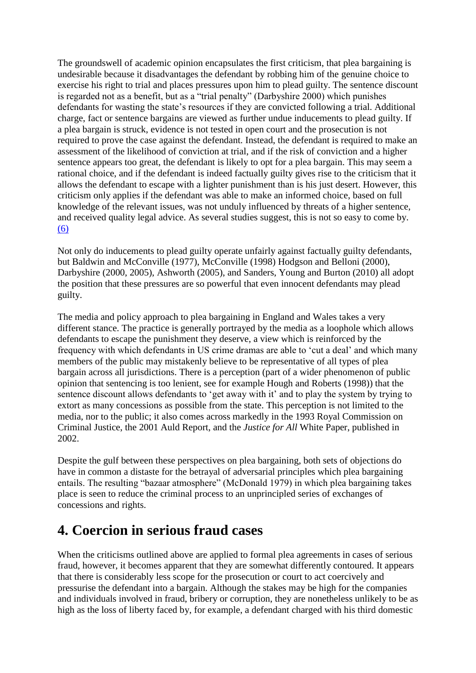The groundswell of academic opinion encapsulates the first criticism, that plea bargaining is undesirable because it disadvantages the defendant by robbing him of the genuine choice to exercise his right to trial and places pressures upon him to plead guilty. The sentence discount is regarded not as a benefit, but as a "trial penalty" (Darbyshire 2000) which punishes defendants for wasting the state's resources if they are convicted following a trial. Additional charge, fact or sentence bargains are viewed as further undue inducements to plead guilty. If a plea bargain is struck, evidence is not tested in open court and the prosecution is not required to prove the case against the defendant. Instead, the defendant is required to make an assessment of the likelihood of conviction at trial, and if the risk of conviction and a higher sentence appears too great, the defendant is likely to opt for a plea bargain. This may seem a rational choice, and if the defendant is indeed factually guilty gives rise to the criticism that it allows the defendant to escape with a lighter punishment than is his just desert. However, this criticism only applies if the defendant was able to make an informed choice, based on full knowledge of the relevant issues, was not unduly influenced by threats of a higher sentence, and received quality legal advice. As several studies suggest, this is not so easy to come by. [\(6\)](http://webjcli.org/rt/printerFriendly/203/272#_ftn6)

Not only do inducements to plead guilty operate unfairly against factually guilty defendants, but Baldwin and McConville (1977), McConville (1998) Hodgson and Belloni (2000), Darbyshire (2000, 2005), Ashworth (2005), and Sanders, Young and Burton (2010) all adopt the position that these pressures are so powerful that even innocent defendants may plead guilty.

The media and policy approach to plea bargaining in England and Wales takes a very different stance. The practice is generally portrayed by the media as a loophole which allows defendants to escape the punishment they deserve, a view which is reinforced by the frequency with which defendants in US crime dramas are able to 'cut a deal' and which many members of the public may mistakenly believe to be representative of all types of plea bargain across all jurisdictions. There is a perception (part of a wider phenomenon of public opinion that sentencing is too lenient, see for example Hough and Roberts (1998)) that the sentence discount allows defendants to 'get away with it' and to play the system by trying to extort as many concessions as possible from the state. This perception is not limited to the media, nor to the public; it also comes across markedly in the 1993 Royal Commission on Criminal Justice, the 2001 Auld Report, and the *Justice for All* White Paper, published in 2002.

Despite the gulf between these perspectives on plea bargaining, both sets of objections do have in common a distaste for the betrayal of adversarial principles which plea bargaining entails. The resulting "bazaar atmosphere" (McDonald 1979) in which plea bargaining takes place is seen to reduce the criminal process to an unprincipled series of exchanges of concessions and rights.

# **4. Coercion in serious fraud cases**

When the criticisms outlined above are applied to formal plea agreements in cases of serious fraud, however, it becomes apparent that they are somewhat differently contoured. It appears that there is considerably less scope for the prosecution or court to act coercively and pressurise the defendant into a bargain. Although the stakes may be high for the companies and individuals involved in fraud, bribery or corruption, they are nonetheless unlikely to be as high as the loss of liberty faced by, for example, a defendant charged with his third domestic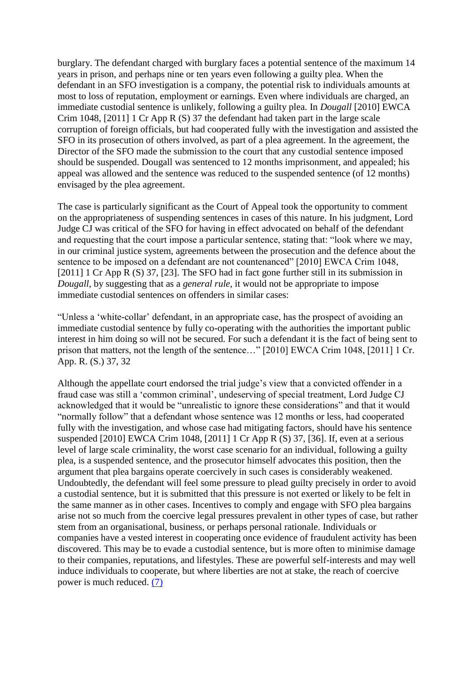burglary. The defendant charged with burglary faces a potential sentence of the maximum 14 years in prison, and perhaps nine or ten years even following a guilty plea. When the defendant in an SFO investigation is a company, the potential risk to individuals amounts at most to loss of reputation, employment or earnings. Even where individuals are charged, an immediate custodial sentence is unlikely, following a guilty plea. In *Dougall* [2010] EWCA Crim 1048, [2011] 1 Cr App R (S) 37 the defendant had taken part in the large scale corruption of foreign officials, but had cooperated fully with the investigation and assisted the SFO in its prosecution of others involved, as part of a plea agreement. In the agreement, the Director of the SFO made the submission to the court that any custodial sentence imposed should be suspended. Dougall was sentenced to 12 months imprisonment, and appealed; his appeal was allowed and the sentence was reduced to the suspended sentence (of 12 months) envisaged by the plea agreement.

The case is particularly significant as the Court of Appeal took the opportunity to comment on the appropriateness of suspending sentences in cases of this nature. In his judgment, Lord Judge CJ was critical of the SFO for having in effect advocated on behalf of the defendant and requesting that the court impose a particular sentence, stating that: "look where we may, in our criminal justice system, agreements between the prosecution and the defence about the sentence to be imposed on a defendant are not countenanced" [2010] EWCA Crim 1048, [2011] 1 Cr App R (S) 37, [23]. The SFO had in fact gone further still in its submission in *Dougall*, by suggesting that as a *general rule*, it would not be appropriate to impose immediate custodial sentences on offenders in similar cases:

"Unless a 'white-collar' defendant, in an appropriate case, has the prospect of avoiding an immediate custodial sentence by fully co-operating with the authorities the important public interest in him doing so will not be secured. For such a defendant it is the fact of being sent to prison that matters, not the length of the sentence…" [2010] EWCA Crim 1048, [2011] 1 Cr. App. R. (S.) 37, 32

Although the appellate court endorsed the trial judge's view that a convicted offender in a fraud case was still a 'common criminal', undeserving of special treatment, Lord Judge CJ acknowledged that it would be "unrealistic to ignore these considerations" and that it would "normally follow" that a defendant whose sentence was 12 months or less, had cooperated fully with the investigation, and whose case had mitigating factors, should have his sentence suspended [2010] EWCA Crim 1048, [2011] 1 Cr App R (S) 37, [36]. If, even at a serious level of large scale criminality, the worst case scenario for an individual, following a guilty plea, is a suspended sentence, and the prosecutor himself advocates this position, then the argument that plea bargains operate coercively in such cases is considerably weakened. Undoubtedly, the defendant will feel some pressure to plead guilty precisely in order to avoid a custodial sentence, but it is submitted that this pressure is not exerted or likely to be felt in the same manner as in other cases. Incentives to comply and engage with SFO plea bargains arise not so much from the coercive legal pressures prevalent in other types of case, but rather stem from an organisational, business, or perhaps personal rationale. Individuals or companies have a vested interest in cooperating once evidence of fraudulent activity has been discovered. This may be to evade a custodial sentence, but is more often to minimise damage to their companies, reputations, and lifestyles. These are powerful self-interests and may well induce individuals to cooperate, but where liberties are not at stake, the reach of coercive power is much reduced. [\(7\)](http://webjcli.org/rt/printerFriendly/203/272#_ftn7)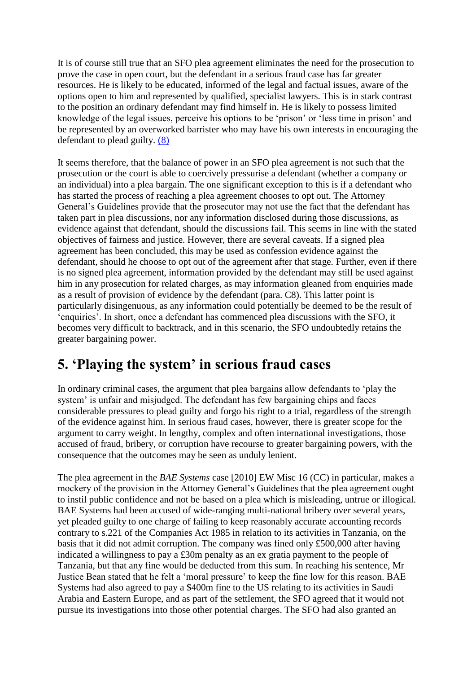It is of course still true that an SFO plea agreement eliminates the need for the prosecution to prove the case in open court, but the defendant in a serious fraud case has far greater resources. He is likely to be educated, informed of the legal and factual issues, aware of the options open to him and represented by qualified, specialist lawyers. This is in stark contrast to the position an ordinary defendant may find himself in. He is likely to possess limited knowledge of the legal issues, perceive his options to be 'prison' or 'less time in prison' and be represented by an overworked barrister who may have his own interests in encouraging the defendant to plead guilty. [\(8\)](http://webjcli.org/rt/printerFriendly/203/272#_ftn8)

It seems therefore, that the balance of power in an SFO plea agreement is not such that the prosecution or the court is able to coercively pressurise a defendant (whether a company or an individual) into a plea bargain. The one significant exception to this is if a defendant who has started the process of reaching a plea agreement chooses to opt out. The Attorney General's Guidelines provide that the prosecutor may not use the fact that the defendant has taken part in plea discussions, nor any information disclosed during those discussions, as evidence against that defendant, should the discussions fail. This seems in line with the stated objectives of fairness and justice. However, there are several caveats. If a signed plea agreement has been concluded, this may be used as confession evidence against the defendant, should he choose to opt out of the agreement after that stage. Further, even if there is no signed plea agreement, information provided by the defendant may still be used against him in any prosecution for related charges, as may information gleaned from enquiries made as a result of provision of evidence by the defendant (para. C8). This latter point is particularly disingenuous, as any information could potentially be deemed to be the result of 'enquiries'. In short, once a defendant has commenced plea discussions with the SFO, it becomes very difficult to backtrack, and in this scenario, the SFO undoubtedly retains the greater bargaining power.

# **5. 'Playing the system' in serious fraud cases**

In ordinary criminal cases, the argument that plea bargains allow defendants to 'play the system' is unfair and misjudged. The defendant has few bargaining chips and faces considerable pressures to plead guilty and forgo his right to a trial, regardless of the strength of the evidence against him. In serious fraud cases, however, there is greater scope for the argument to carry weight. In lengthy, complex and often international investigations, those accused of fraud, bribery, or corruption have recourse to greater bargaining powers, with the consequence that the outcomes may be seen as unduly lenient.

The plea agreement in the *BAE Systems* case [2010] EW Misc 16 (CC) in particular, makes a mockery of the provision in the Attorney General's Guidelines that the plea agreement ought to instil public confidence and not be based on a plea which is misleading, untrue or illogical. BAE Systems had been accused of wide-ranging multi-national bribery over several years, yet pleaded guilty to one charge of failing to keep reasonably accurate accounting records contrary to s.221 of the Companies Act 1985 in relation to its activities in Tanzania, on the basis that it did not admit corruption. The company was fined only £500,000 after having indicated a willingness to pay a £30m penalty as an ex gratia payment to the people of Tanzania, but that any fine would be deducted from this sum. In reaching his sentence, Mr Justice Bean stated that he felt a 'moral pressure' to keep the fine low for this reason. BAE Systems had also agreed to pay a \$400m fine to the US relating to its activities in Saudi Arabia and Eastern Europe, and as part of the settlement, the SFO agreed that it would not pursue its investigations into those other potential charges. The SFO had also granted an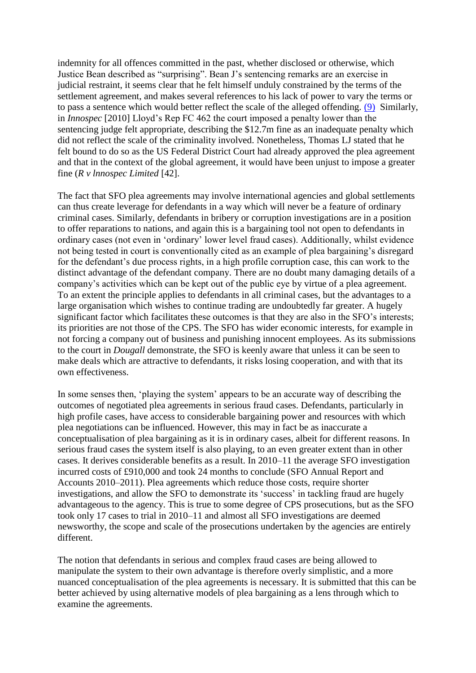indemnity for all offences committed in the past, whether disclosed or otherwise, which Justice Bean described as "surprising". Bean J's sentencing remarks are an exercise in judicial restraint, it seems clear that he felt himself unduly constrained by the terms of the settlement agreement, and makes several references to his lack of power to vary the terms or to pass a sentence which would better reflect the scale of the alleged offending. [\(9\)](http://webjcli.org/rt/printerFriendly/203/272#_ftn9) Similarly, in *Innospec* [2010] Lloyd's Rep FC 462 the court imposed a penalty lower than the sentencing judge felt appropriate, describing the \$12.7m fine as an inadequate penalty which did not reflect the scale of the criminality involved. Nonetheless, Thomas LJ stated that he felt bound to do so as the US Federal District Court had already approved the plea agreement and that in the context of the global agreement, it would have been unjust to impose a greater fine (*R v lnnospec Limited* [42].

The fact that SFO plea agreements may involve international agencies and global settlements can thus create leverage for defendants in a way which will never be a feature of ordinary criminal cases. Similarly, defendants in bribery or corruption investigations are in a position to offer reparations to nations, and again this is a bargaining tool not open to defendants in ordinary cases (not even in 'ordinary' lower level fraud cases). Additionally, whilst evidence not being tested in court is conventionally cited as an example of plea bargaining's disregard for the defendant's due process rights, in a high profile corruption case, this can work to the distinct advantage of the defendant company. There are no doubt many damaging details of a company's activities which can be kept out of the public eye by virtue of a plea agreement. To an extent the principle applies to defendants in all criminal cases, but the advantages to a large organisation which wishes to continue trading are undoubtedly far greater. A hugely significant factor which facilitates these outcomes is that they are also in the SFO's interests; its priorities are not those of the CPS. The SFO has wider economic interests, for example in not forcing a company out of business and punishing innocent employees. As its submissions to the court in *Dougall* demonstrate, the SFO is keenly aware that unless it can be seen to make deals which are attractive to defendants, it risks losing cooperation, and with that its own effectiveness.

In some senses then, 'playing the system' appears to be an accurate way of describing the outcomes of negotiated plea agreements in serious fraud cases. Defendants, particularly in high profile cases, have access to considerable bargaining power and resources with which plea negotiations can be influenced. However, this may in fact be as inaccurate a conceptualisation of plea bargaining as it is in ordinary cases, albeit for different reasons. In serious fraud cases the system itself is also playing, to an even greater extent than in other cases. It derives considerable benefits as a result. In 2010–11 the average SFO investigation incurred costs of £910,000 and took 24 months to conclude (SFO Annual Report and Accounts 2010–2011). Plea agreements which reduce those costs, require shorter investigations, and allow the SFO to demonstrate its 'success' in tackling fraud are hugely advantageous to the agency. This is true to some degree of CPS prosecutions, but as the SFO took only 17 cases to trial in 2010–11 and almost all SFO investigations are deemed newsworthy, the scope and scale of the prosecutions undertaken by the agencies are entirely different.

The notion that defendants in serious and complex fraud cases are being allowed to manipulate the system to their own advantage is therefore overly simplistic, and a more nuanced conceptualisation of the plea agreements is necessary. It is submitted that this can be better achieved by using alternative models of plea bargaining as a lens through which to examine the agreements.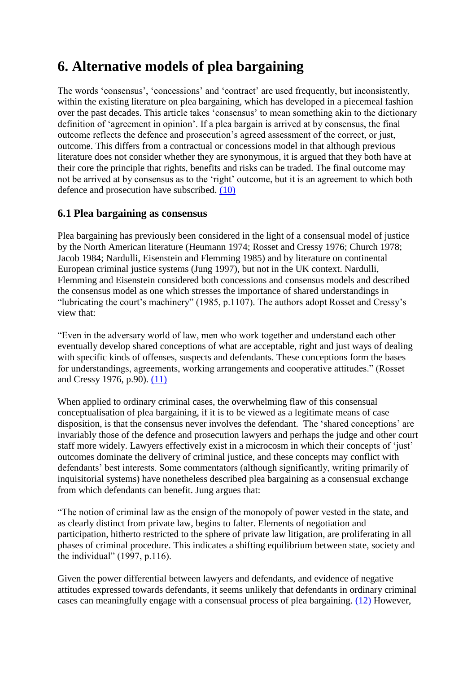# **6. Alternative models of plea bargaining**

The words 'consensus', 'concessions' and 'contract' are used frequently, but inconsistently, within the existing literature on plea bargaining, which has developed in a piecemeal fashion over the past decades. This article takes 'consensus' to mean something akin to the dictionary definition of 'agreement in opinion'. If a plea bargain is arrived at by consensus, the final outcome reflects the defence and prosecution's agreed assessment of the correct, or just, outcome. This differs from a contractual or concessions model in that although previous literature does not consider whether they are synonymous, it is argued that they both have at their core the principle that rights, benefits and risks can be traded. The final outcome may not be arrived at by consensus as to the 'right' outcome, but it is an agreement to which both defence and prosecution have subscribed. [\(10\)](http://webjcli.org/rt/printerFriendly/203/272#_ftn10)

#### **6.1 Plea bargaining as consensus**

Plea bargaining has previously been considered in the light of a consensual model of justice by the North American literature (Heumann 1974; Rosset and Cressy 1976; Church 1978; Jacob 1984; Nardulli, Eisenstein and Flemming 1985) and by literature on continental European criminal justice systems (Jung 1997), but not in the UK context. Nardulli, Flemming and Eisenstein considered both concessions and consensus models and described the consensus model as one which stresses the importance of shared understandings in "lubricating the court's machinery" (1985, p.1107). The authors adopt Rosset and Cressy's view that:

"Even in the adversary world of law, men who work together and understand each other eventually develop shared conceptions of what are acceptable, right and just ways of dealing with specific kinds of offenses, suspects and defendants. These conceptions form the bases for understandings, agreements, working arrangements and cooperative attitudes." (Rosset and Cressy 1976, p.90). [\(11\)](http://webjcli.org/rt/printerFriendly/203/272#_ftn11)

When applied to ordinary criminal cases, the overwhelming flaw of this consensual conceptualisation of plea bargaining, if it is to be viewed as a legitimate means of case disposition, is that the consensus never involves the defendant. The 'shared conceptions' are invariably those of the defence and prosecution lawyers and perhaps the judge and other court staff more widely. Lawyers effectively exist in a microcosm in which their concepts of 'just' outcomes dominate the delivery of criminal justice, and these concepts may conflict with defendants' best interests. Some commentators (although significantly, writing primarily of inquisitorial systems) have nonetheless described plea bargaining as a consensual exchange from which defendants can benefit. Jung argues that:

"The notion of criminal law as the ensign of the monopoly of power vested in the state, and as clearly distinct from private law, begins to falter. Elements of negotiation and participation, hitherto restricted to the sphere of private law litigation, are proliferating in all phases of criminal procedure. This indicates a shifting equilibrium between state, society and the individual" (1997, p.116).

Given the power differential between lawyers and defendants, and evidence of negative attitudes expressed towards defendants, it seems unlikely that defendants in ordinary criminal cases can meaningfully engage with a consensual process of plea bargaining. [\(12\)](http://webjcli.org/rt/printerFriendly/203/272#_ftn12) However,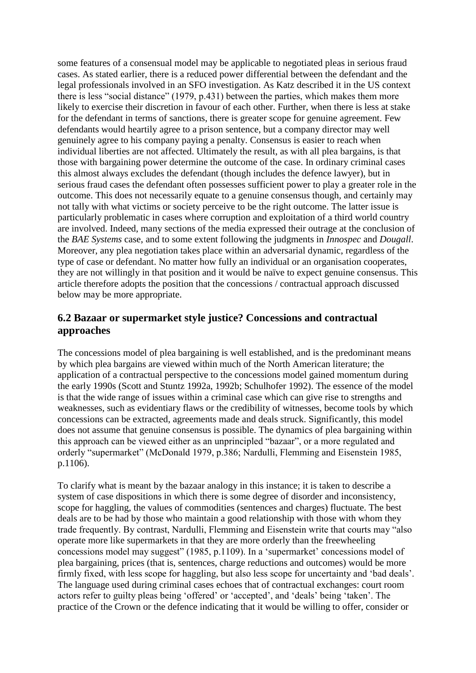some features of a consensual model may be applicable to negotiated pleas in serious fraud cases. As stated earlier, there is a reduced power differential between the defendant and the legal professionals involved in an SFO investigation. As Katz described it in the US context there is less "social distance" (1979, p.431) between the parties, which makes them more likely to exercise their discretion in favour of each other. Further, when there is less at stake for the defendant in terms of sanctions, there is greater scope for genuine agreement. Few defendants would heartily agree to a prison sentence, but a company director may well genuinely agree to his company paying a penalty. Consensus is easier to reach when individual liberties are not affected. Ultimately the result, as with all plea bargains, is that those with bargaining power determine the outcome of the case. In ordinary criminal cases this almost always excludes the defendant (though includes the defence lawyer), but in serious fraud cases the defendant often possesses sufficient power to play a greater role in the outcome. This does not necessarily equate to a genuine consensus though, and certainly may not tally with what victims or society perceive to be the right outcome. The latter issue is particularly problematic in cases where corruption and exploitation of a third world country are involved. Indeed, many sections of the media expressed their outrage at the conclusion of the *BAE Systems* case, and to some extent following the judgments in *Innospec* and *Dougall*. Moreover, any plea negotiation takes place within an adversarial dynamic, regardless of the type of case or defendant. No matter how fully an individual or an organisation cooperates, they are not willingly in that position and it would be naïve to expect genuine consensus. This article therefore adopts the position that the concessions / contractual approach discussed below may be more appropriate.

#### **6.2 Bazaar or supermarket style justice? Concessions and contractual approaches**

The concessions model of plea bargaining is well established, and is the predominant means by which plea bargains are viewed within much of the North American literature; the application of a contractual perspective to the concessions model gained momentum during the early 1990s (Scott and Stuntz 1992a, 1992b; Schulhofer 1992). The essence of the model is that the wide range of issues within a criminal case which can give rise to strengths and weaknesses, such as evidentiary flaws or the credibility of witnesses, become tools by which concessions can be extracted, agreements made and deals struck. Significantly, this model does not assume that genuine consensus is possible. The dynamics of plea bargaining within this approach can be viewed either as an unprincipled "bazaar", or a more regulated and orderly "supermarket" (McDonald 1979, p.386; Nardulli, Flemming and Eisenstein 1985, p.1106).

To clarify what is meant by the bazaar analogy in this instance; it is taken to describe a system of case dispositions in which there is some degree of disorder and inconsistency, scope for haggling, the values of commodities (sentences and charges) fluctuate. The best deals are to be had by those who maintain a good relationship with those with whom they trade frequently. By contrast, Nardulli, Flemming and Eisenstein write that courts may "also operate more like supermarkets in that they are more orderly than the freewheeling concessions model may suggest" (1985, p.1109). In a 'supermarket' concessions model of plea bargaining, prices (that is, sentences, charge reductions and outcomes) would be more firmly fixed, with less scope for haggling, but also less scope for uncertainty and 'bad deals'. The language used during criminal cases echoes that of contractual exchanges: court room actors refer to guilty pleas being 'offered' or 'accepted', and 'deals' being 'taken'. The practice of the Crown or the defence indicating that it would be willing to offer, consider or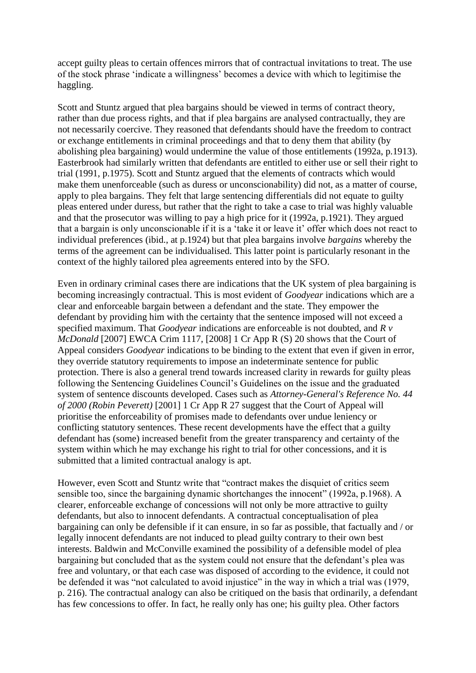accept guilty pleas to certain offences mirrors that of contractual invitations to treat. The use of the stock phrase 'indicate a willingness' becomes a device with which to legitimise the haggling.

Scott and Stuntz argued that plea bargains should be viewed in terms of contract theory, rather than due process rights, and that if plea bargains are analysed contractually, they are not necessarily coercive. They reasoned that defendants should have the freedom to contract or exchange entitlements in criminal proceedings and that to deny them that ability (by abolishing plea bargaining) would undermine the value of those entitlements (1992a, p.1913). Easterbrook had similarly written that defendants are entitled to either use or sell their right to trial (1991, p.1975). Scott and Stuntz argued that the elements of contracts which would make them unenforceable (such as duress or unconscionability) did not, as a matter of course, apply to plea bargains. They felt that large sentencing differentials did not equate to guilty pleas entered under duress, but rather that the right to take a case to trial was highly valuable and that the prosecutor was willing to pay a high price for it (1992a, p.1921). They argued that a bargain is only unconscionable if it is a 'take it or leave it' offer which does not react to individual preferences (ibid., at p.1924) but that plea bargains involve *bargains* whereby the terms of the agreement can be individualised. This latter point is particularly resonant in the context of the highly tailored plea agreements entered into by the SFO.

Even in ordinary criminal cases there are indications that the UK system of plea bargaining is becoming increasingly contractual. This is most evident of *Goodyear* indications which are a clear and enforceable bargain between a defendant and the state. They empower the defendant by providing him with the certainty that the sentence imposed will not exceed a specified maximum. That *Goodyear* indications are enforceable is not doubted, and *R v McDonald* [2007] EWCA Crim 1117, [2008] 1 Cr App R (S) 20 shows that the Court of Appeal considers *Goodyear* indications to be binding to the extent that even if given in error, they override statutory requirements to impose an indeterminate sentence for public protection. There is also a general trend towards increased clarity in rewards for guilty pleas following the Sentencing Guidelines Council's Guidelines on the issue and the graduated system of sentence discounts developed. Cases such as *Attorney-General's Reference No. 44 of 2000 (Robin Peverett)* [2001] 1 Cr App R 27 suggest that the Court of Appeal will prioritise the enforceability of promises made to defendants over undue leniency or conflicting statutory sentences. These recent developments have the effect that a guilty defendant has (some) increased benefit from the greater transparency and certainty of the system within which he may exchange his right to trial for other concessions, and it is submitted that a limited contractual analogy is apt.

However, even Scott and Stuntz write that "contract makes the disquiet of critics seem sensible too, since the bargaining dynamic shortchanges the innocent" (1992a, p.1968). A clearer, enforceable exchange of concessions will not only be more attractive to guilty defendants, but also to innocent defendants. A contractual conceptualisation of plea bargaining can only be defensible if it can ensure, in so far as possible, that factually and / or legally innocent defendants are not induced to plead guilty contrary to their own best interests. Baldwin and McConville examined the possibility of a defensible model of plea bargaining but concluded that as the system could not ensure that the defendant's plea was free and voluntary, or that each case was disposed of according to the evidence, it could not be defended it was "not calculated to avoid injustice" in the way in which a trial was (1979, p. 216). The contractual analogy can also be critiqued on the basis that ordinarily, a defendant has few concessions to offer. In fact, he really only has one; his guilty plea. Other factors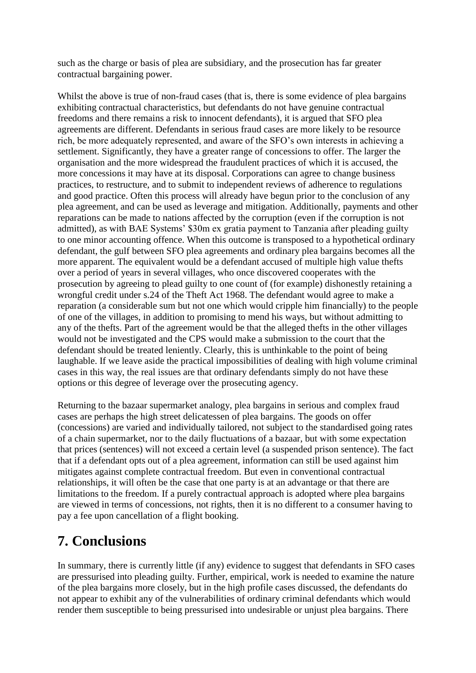such as the charge or basis of plea are subsidiary, and the prosecution has far greater contractual bargaining power.

Whilst the above is true of non-fraud cases (that is, there is some evidence of plea bargains exhibiting contractual characteristics, but defendants do not have genuine contractual freedoms and there remains a risk to innocent defendants), it is argued that SFO plea agreements are different. Defendants in serious fraud cases are more likely to be resource rich, be more adequately represented, and aware of the SFO's own interests in achieving a settlement. Significantly, they have a greater range of concessions to offer. The larger the organisation and the more widespread the fraudulent practices of which it is accused, the more concessions it may have at its disposal. Corporations can agree to change business practices, to restructure, and to submit to independent reviews of adherence to regulations and good practice. Often this process will already have begun prior to the conclusion of any plea agreement, and can be used as leverage and mitigation. Additionally, payments and other reparations can be made to nations affected by the corruption (even if the corruption is not admitted), as with BAE Systems' \$30m ex gratia payment to Tanzania after pleading guilty to one minor accounting offence. When this outcome is transposed to a hypothetical ordinary defendant, the gulf between SFO plea agreements and ordinary plea bargains becomes all the more apparent. The equivalent would be a defendant accused of multiple high value thefts over a period of years in several villages, who once discovered cooperates with the prosecution by agreeing to plead guilty to one count of (for example) dishonestly retaining a wrongful credit under s.24 of the Theft Act 1968. The defendant would agree to make a reparation (a considerable sum but not one which would cripple him financially) to the people of one of the villages, in addition to promising to mend his ways, but without admitting to any of the thefts. Part of the agreement would be that the alleged thefts in the other villages would not be investigated and the CPS would make a submission to the court that the defendant should be treated leniently. Clearly, this is unthinkable to the point of being laughable. If we leave aside the practical impossibilities of dealing with high volume criminal cases in this way, the real issues are that ordinary defendants simply do not have these options or this degree of leverage over the prosecuting agency.

Returning to the bazaar supermarket analogy, plea bargains in serious and complex fraud cases are perhaps the high street delicatessen of plea bargains. The goods on offer (concessions) are varied and individually tailored, not subject to the standardised going rates of a chain supermarket, nor to the daily fluctuations of a bazaar, but with some expectation that prices (sentences) will not exceed a certain level (a suspended prison sentence). The fact that if a defendant opts out of a plea agreement, information can still be used against him mitigates against complete contractual freedom. But even in conventional contractual relationships, it will often be the case that one party is at an advantage or that there are limitations to the freedom. If a purely contractual approach is adopted where plea bargains are viewed in terms of concessions, not rights, then it is no different to a consumer having to pay a fee upon cancellation of a flight booking.

#### **7. Conclusions**

In summary, there is currently little (if any) evidence to suggest that defendants in SFO cases are pressurised into pleading guilty. Further, empirical, work is needed to examine the nature of the plea bargains more closely, but in the high profile cases discussed, the defendants do not appear to exhibit any of the vulnerabilities of ordinary criminal defendants which would render them susceptible to being pressurised into undesirable or unjust plea bargains. There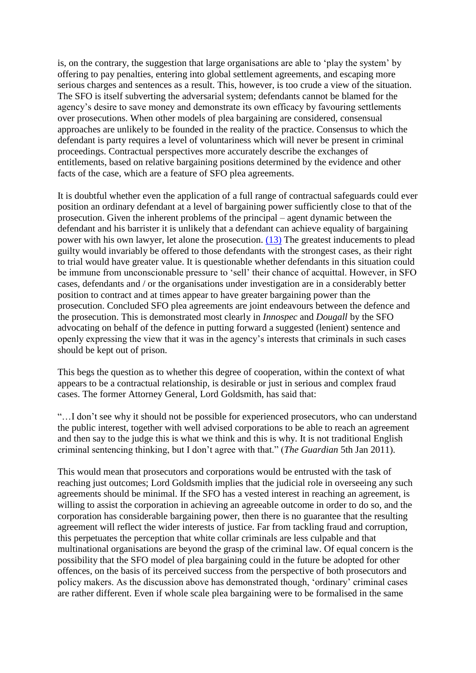is, on the contrary, the suggestion that large organisations are able to 'play the system' by offering to pay penalties, entering into global settlement agreements, and escaping more serious charges and sentences as a result. This, however, is too crude a view of the situation. The SFO is itself subverting the adversarial system; defendants cannot be blamed for the agency's desire to save money and demonstrate its own efficacy by favouring settlements over prosecutions. When other models of plea bargaining are considered, consensual approaches are unlikely to be founded in the reality of the practice. Consensus to which the defendant is party requires a level of voluntariness which will never be present in criminal proceedings. Contractual perspectives more accurately describe the exchanges of entitlements, based on relative bargaining positions determined by the evidence and other facts of the case, which are a feature of SFO plea agreements.

It is doubtful whether even the application of a full range of contractual safeguards could ever position an ordinary defendant at a level of bargaining power sufficiently close to that of the prosecution. Given the inherent problems of the principal – agent dynamic between the defendant and his barrister it is unlikely that a defendant can achieve equality of bargaining power with his own lawyer, let alone the prosecution. [\(13\)](http://webjcli.org/rt/printerFriendly/203/272#_ftn13) The greatest inducements to plead guilty would invariably be offered to those defendants with the strongest cases, as their right to trial would have greater value. It is questionable whether defendants in this situation could be immune from unconscionable pressure to 'sell' their chance of acquittal. However, in SFO cases, defendants and / or the organisations under investigation are in a considerably better position to contract and at times appear to have greater bargaining power than the prosecution. Concluded SFO plea agreements are joint endeavours between the defence and the prosecution. This is demonstrated most clearly in *Innospec* and *Dougall* by the SFO advocating on behalf of the defence in putting forward a suggested (lenient) sentence and openly expressing the view that it was in the agency's interests that criminals in such cases should be kept out of prison.

This begs the question as to whether this degree of cooperation, within the context of what appears to be a contractual relationship, is desirable or just in serious and complex fraud cases. The former Attorney General, Lord Goldsmith, has said that:

"…I don't see why it should not be possible for experienced prosecutors, who can understand the public interest, together with well advised corporations to be able to reach an agreement and then say to the judge this is what we think and this is why. It is not traditional English criminal sentencing thinking, but I don't agree with that." (*The Guardian* 5th Jan 2011).

This would mean that prosecutors and corporations would be entrusted with the task of reaching just outcomes; Lord Goldsmith implies that the judicial role in overseeing any such agreements should be minimal. If the SFO has a vested interest in reaching an agreement, is willing to assist the corporation in achieving an agreeable outcome in order to do so, and the corporation has considerable bargaining power, then there is no guarantee that the resulting agreement will reflect the wider interests of justice. Far from tackling fraud and corruption, this perpetuates the perception that white collar criminals are less culpable and that multinational organisations are beyond the grasp of the criminal law. Of equal concern is the possibility that the SFO model of plea bargaining could in the future be adopted for other offences, on the basis of its perceived success from the perspective of both prosecutors and policy makers. As the discussion above has demonstrated though, 'ordinary' criminal cases are rather different. Even if whole scale plea bargaining were to be formalised in the same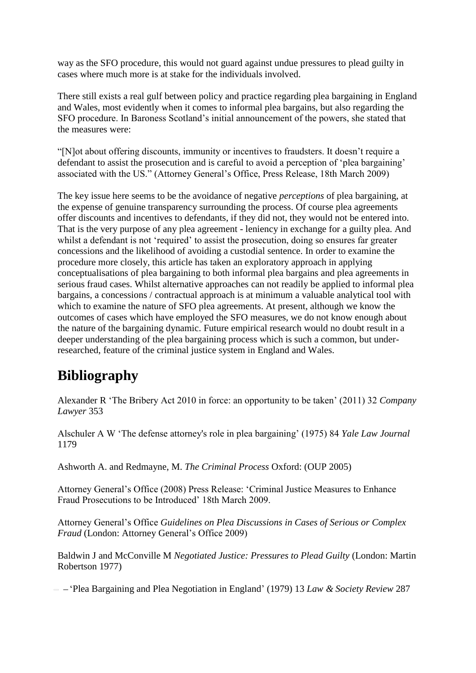way as the SFO procedure, this would not guard against undue pressures to plead guilty in cases where much more is at stake for the individuals involved.

There still exists a real gulf between policy and practice regarding plea bargaining in England and Wales, most evidently when it comes to informal plea bargains, but also regarding the SFO procedure. In Baroness Scotland's initial announcement of the powers, she stated that the measures were:

"[N]ot about offering discounts, immunity or incentives to fraudsters. It doesn't require a defendant to assist the prosecution and is careful to avoid a perception of 'plea bargaining' associated with the US." (Attorney General's Office, Press Release, 18th March 2009)

The key issue here seems to be the avoidance of negative *perceptions* of plea bargaining, at the expense of genuine transparency surrounding the process. Of course plea agreements offer discounts and incentives to defendants, if they did not, they would not be entered into. That is the very purpose of any plea agreement - leniency in exchange for a guilty plea. And whilst a defendant is not 'required' to assist the prosecution, doing so ensures far greater concessions and the likelihood of avoiding a custodial sentence. In order to examine the procedure more closely, this article has taken an exploratory approach in applying conceptualisations of plea bargaining to both informal plea bargains and plea agreements in serious fraud cases. Whilst alternative approaches can not readily be applied to informal plea bargains, a concessions / contractual approach is at minimum a valuable analytical tool with which to examine the nature of SFO plea agreements. At present, although we know the outcomes of cases which have employed the SFO measures, we do not know enough about the nature of the bargaining dynamic. Future empirical research would no doubt result in a deeper understanding of the plea bargaining process which is such a common, but underresearched, feature of the criminal justice system in England and Wales.

# **Bibliography**

Alexander R 'The Bribery Act 2010 in force: an opportunity to be taken' (2011) 32 *Company Lawyer* 353

Alschuler A W 'The defense attorney's role in plea bargaining' (1975) 84 *Yale Law Journal* 1179

Ashworth A. and Redmayne, M. *The Criminal Process* Oxford: (OUP 2005)

Attorney General's Office (2008) Press Release: 'Criminal Justice Measures to Enhance Fraud Prosecutions to be Introduced' 18th March 2009.

Attorney General's Office *Guidelines on Plea Discussions in Cases of Serious or Complex Fraud* (London: Attorney General's Office 2009)

Baldwin J and McConville M *Negotiated Justice: Pressures to Plead Guilty* (London: Martin Robertson 1977)

'Plea Bargaining and Plea Negotiation in England' (1979) 13 *Law & Society Review* 287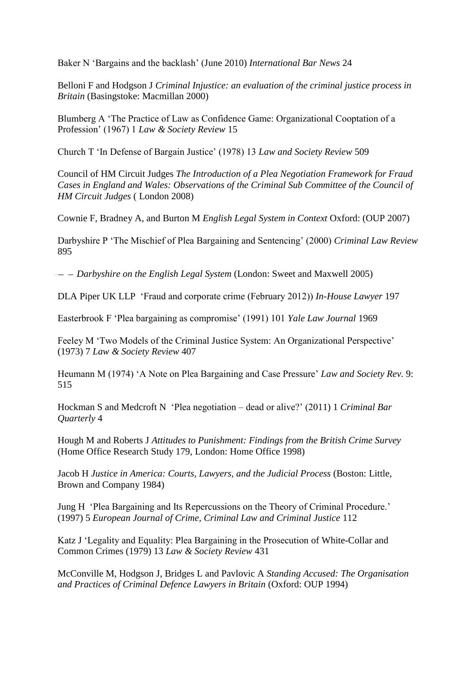Baker N 'Bargains and the backlash' (June 2010) *International Bar News* 24

Belloni F and Hodgson J *Criminal Injustice: an evaluation of the criminal justice process in Britain* (Basingstoke: Macmillan 2000)

Blumberg A 'The Practice of Law as Confidence Game: Organizational Cooptation of a Profession' (1967) 1 *Law & Society Review* 15

Church T 'In Defense of Bargain Justice' (1978) 13 *Law and Society Review* 509

Council of HM Circuit Judges *The Introduction of a Plea Negotiation Framework for Fraud Cases in England and Wales: Observations of the Criminal Sub Committee of the Council of HM Circuit Judges* ( London 2008)

Cownie F, Bradney A, and Burton M *English Legal System in Context* Oxford: (OUP 2007)

Darbyshire P 'The Mischief of Plea Bargaining and Sentencing' (2000) *Criminal Law Review* 895

*Darbyshire on the English Legal System* (London: Sweet and Maxwell 2005)

DLA Piper UK LLP 'Fraud and corporate crime (February 2012)) *In-House Lawyer* 197

Easterbrook F 'Plea bargaining as compromise' (1991) 101 *Yale Law Journal* 1969

Feeley M 'Two Models of the Criminal Justice System: An Organizational Perspective' (1973) 7 *Law & Society Review* 407

Heumann M (1974) 'A Note on Plea Bargaining and Case Pressure' *Law and Society Rev.* 9: 515

Hockman S and Medcroft N 'Plea negotiation – dead or alive?' (2011) 1 *Criminal Bar Quarterly* 4

Hough M and Roberts J *Attitudes to Punishment: Findings from the British Crime Survey* (Home Office Research Study 179, London: Home Office 1998)

Jacob H *Justice in America: Courts, Lawyers, and the Judicial Process* (Boston: Little, Brown and Company 1984)

Jung H 'Plea Bargaining and Its Repercussions on the Theory of Criminal Procedure.' (1997) 5 *European Journal of Crime, Criminal Law and Criminal Justice* 112

Katz J 'Legality and Equality: Plea Bargaining in the Prosecution of White-Collar and Common Crimes (1979) 13 *Law & Society Review* 431

McConville M, Hodgson J, Bridges L and Pavlovic A *Standing Accused: The Organisation and Practices of Criminal Defence Lawyers in Britain* (Oxford: OUP 1994)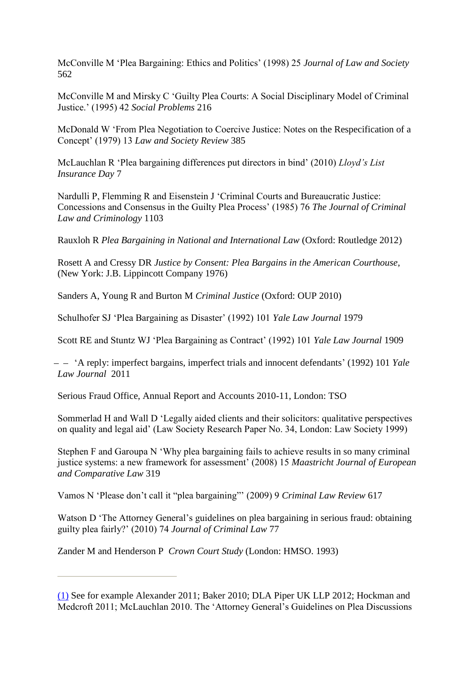McConville M 'Plea Bargaining: Ethics and Politics' (1998) 25 *Journal of Law and Society* 562

McConville M and Mirsky C 'Guilty Plea Courts: A Social Disciplinary Model of Criminal Justice.' (1995) 42 *Social Problems* 216

McDonald W 'From Plea Negotiation to Coercive Justice: Notes on the Respecification of a Concept' (1979) 13 *Law and Society Review* 385

McLauchlan R 'Plea bargaining differences put directors in bind' (2010) *Lloyd's List Insurance Day* 7

Nardulli P, Flemming R and Eisenstein J 'Criminal Courts and Bureaucratic Justice: Concessions and Consensus in the Guilty Plea Process' (1985) 76 *The Journal of Criminal Law and Criminology* 1103

Rauxloh R *Plea Bargaining in National and International Law* (Oxford: Routledge 2012)

Rosett A and Cressy DR *Justice by Consent: Plea Bargains in the American Courthouse*, (New York: J.B. Lippincott Company 1976)

Sanders A, Young R and Burton M *Criminal Justice* (Oxford: OUP 2010)

Schulhofer SJ 'Plea Bargaining as Disaster' (1992) 101 *Yale Law Journal* 1979

Scott RE and Stuntz WJ 'Plea Bargaining as Contract' (1992) 101 *Yale Law Journal* 1909

 'A reply: imperfect bargains, imperfect trials and innocent defendants' (1992) 101 *Yale Law Journal* 2011

Serious Fraud Office, Annual Report and Accounts 2010-11, London: TSO

Sommerlad H and Wall D 'Legally aided clients and their solicitors: qualitative perspectives on quality and legal aid' (Law Society Research Paper No. 34, London: Law Society 1999)

Stephen F and Garoupa N 'Why plea bargaining fails to achieve results in so many criminal justice systems: a new framework for assessment' (2008) 15 *Maastricht Journal of European and Comparative Law* 319

Vamos N 'Please don't call it "plea bargaining"' (2009) 9 *Criminal Law Review* 617

Watson D 'The Attorney General's guidelines on plea bargaining in serious fraud: obtaining guilty plea fairly?' (2010) 74 *Journal of Criminal Law* 77

Zander M and Henderson P *Crown Court Study* (London: HMSO. 1993)

[<sup>\(1\)</sup>](http://webjcli.org/rt/printerFriendly/203/272#_ftnref1) See for example Alexander 2011; Baker 2010; DLA Piper UK LLP 2012; Hockman and Medcroft 2011; McLauchlan 2010. The 'Attorney General's Guidelines on Plea Discussions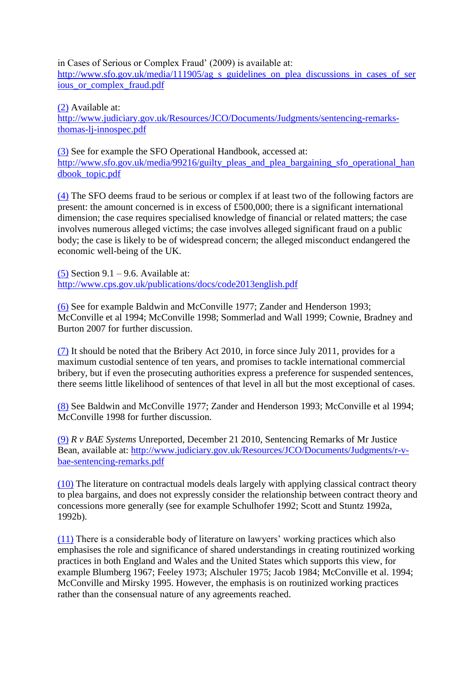in Cases of Serious or Complex Fraud' (2009) is available at:

[http://www.sfo.gov.uk/media/111905/ag\\_s\\_guidelines\\_on\\_plea\\_discussions\\_in\\_cases\\_of\\_ser](http://www.sfo.gov.uk/media/111905/ag_s_guidelines_on_plea_discussions_in_cases_of_serious_or_complex_fraud.pdf) [ious\\_or\\_complex\\_fraud.pdf](http://www.sfo.gov.uk/media/111905/ag_s_guidelines_on_plea_discussions_in_cases_of_serious_or_complex_fraud.pdf)

[\(2\)](http://webjcli.org/rt/printerFriendly/203/272#_ftnref2) Available at: [http://www.judiciary.gov.uk/Resources/JCO/Documents/Judgments/sentencing-remarks](http://www.judiciary.gov.uk/Resources/JCO/Documents/Judgments/sentencing-remarks-thomas-lj-innospec.pdf)[thomas-lj-innospec.pdf](http://www.judiciary.gov.uk/Resources/JCO/Documents/Judgments/sentencing-remarks-thomas-lj-innospec.pdf)

[\(3\)](http://webjcli.org/rt/printerFriendly/203/272#_ftnref3) See for example the SFO Operational Handbook, accessed at: [http://www.sfo.gov.uk/media/99216/guilty\\_pleas\\_and\\_plea\\_bargaining\\_sfo\\_operational\\_han](http://www.sfo.gov.uk/media/99216/guilty_pleas_and_plea_bargaining_sfo_operational_handbook_topic.pdf) [dbook\\_topic.pdf](http://www.sfo.gov.uk/media/99216/guilty_pleas_and_plea_bargaining_sfo_operational_handbook_topic.pdf)

[\(4\)](http://webjcli.org/rt/printerFriendly/203/272#_ftnref4) The SFO deems fraud to be serious or complex if at least two of the following factors are present: the amount concerned is in excess of £500,000; there is a significant international dimension; the case requires specialised knowledge of financial or related matters; the case involves numerous alleged victims; the case involves alleged significant fraud on a public body; the case is likely to be of widespread concern; the alleged misconduct endangered the economic well-being of the UK.

[\(5\)](http://webjcli.org/rt/printerFriendly/203/272#_ftnref5) Section  $9.1 - 9.6$ . Available at: <http://www.cps.gov.uk/publications/docs/code2013english.pdf>

[\(6\)](http://webjcli.org/rt/printerFriendly/203/272#_ftnref6) See for example Baldwin and McConville 1977; Zander and Henderson 1993; McConville et al 1994; McConville 1998; Sommerlad and Wall 1999; Cownie, Bradney and Burton 2007 for further discussion.

[\(7\)](http://webjcli.org/rt/printerFriendly/203/272#_ftnref7) It should be noted that the Bribery Act 2010, in force since July 2011, provides for a maximum custodial sentence of ten years, and promises to tackle international commercial bribery, but if even the prosecuting authorities express a preference for suspended sentences, there seems little likelihood of sentences of that level in all but the most exceptional of cases.

[\(8\)](http://webjcli.org/rt/printerFriendly/203/272#_ftnref8) See Baldwin and McConville 1977; Zander and Henderson 1993; McConville et al 1994; McConville 1998 for further discussion.

[\(9\)](http://webjcli.org/rt/printerFriendly/203/272#_ftnref9) *R v BAE Systems* Unreported, December 21 2010, Sentencing Remarks of Mr Justice Bean, available at: [http://www.judiciary.gov.uk/Resources/JCO/Documents/Judgments/r-v](http://www.judiciary.gov.uk/Resources/JCO/Documents/Judgments/r-v-bae-sentencing-remarks.pdf)[bae-sentencing-remarks.pdf](http://www.judiciary.gov.uk/Resources/JCO/Documents/Judgments/r-v-bae-sentencing-remarks.pdf)

[\(10\)](http://webjcli.org/rt/printerFriendly/203/272#_ftnref10) The literature on contractual models deals largely with applying classical contract theory to plea bargains, and does not expressly consider the relationship between contract theory and concessions more generally (see for example Schulhofer 1992; Scott and Stuntz 1992a, 1992b).

[\(11\)](http://webjcli.org/rt/printerFriendly/203/272#_ftnref11) There is a considerable body of literature on lawyers' working practices which also emphasises the role and significance of shared understandings in creating routinized working practices in both England and Wales and the United States which supports this view, for example Blumberg 1967; Feeley 1973; Alschuler 1975; Jacob 1984; McConville et al. 1994; McConville and Mirsky 1995. However, the emphasis is on routinized working practices rather than the consensual nature of any agreements reached.